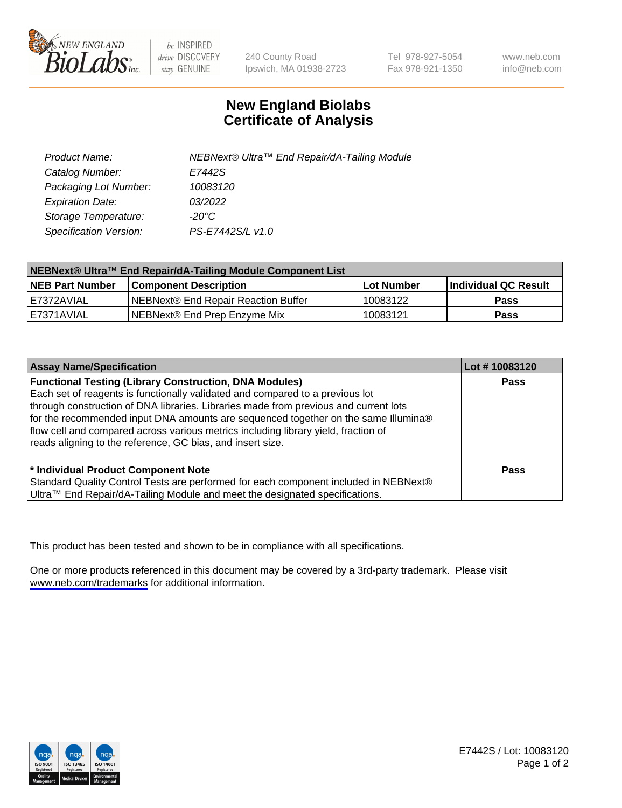

be INSPIRED drive DISCOVERY stay GENUINE

240 County Road Ipswich, MA 01938-2723 Tel 978-927-5054 Fax 978-921-1350

www.neb.com info@neb.com

## **New England Biolabs Certificate of Analysis**

| Product Name:           | NEBNext® Ultra™ End Repair/dA-Tailing Module |
|-------------------------|----------------------------------------------|
| Catalog Number:         | E7442S                                       |
| Packaging Lot Number:   | 10083120                                     |
| <b>Expiration Date:</b> | 03/2022                                      |
| Storage Temperature:    | -20°C                                        |
| Specification Version:  | PS-E7442S/L v1.0                             |

| NEBNext® Ultra™ End Repair/dA-Tailing Module Component List |                                     |                   |                             |  |
|-------------------------------------------------------------|-------------------------------------|-------------------|-----------------------------|--|
| <b>NEB Part Number</b>                                      | <b>Component Description</b>        | <b>Lot Number</b> | <b>Individual QC Result</b> |  |
| I E7372AVIAL                                                | NEBNext® End Repair Reaction Buffer | 10083122          | <b>Pass</b>                 |  |
| I E7371AVIAL                                                | NEBNext® End Prep Enzyme Mix        | 10083121          | <b>Pass</b>                 |  |

| <b>Assay Name/Specification</b>                                                                                                                                                                                                                                                                                                                                                                                    | Lot #10083120 |
|--------------------------------------------------------------------------------------------------------------------------------------------------------------------------------------------------------------------------------------------------------------------------------------------------------------------------------------------------------------------------------------------------------------------|---------------|
| <b>Functional Testing (Library Construction, DNA Modules)</b><br>Each set of reagents is functionally validated and compared to a previous lot<br>through construction of DNA libraries. Libraries made from previous and current lots<br>for the recommended input DNA amounts are sequenced together on the same Illumina®<br>flow cell and compared across various metrics including library yield, fraction of | <b>Pass</b>   |
| reads aligning to the reference, GC bias, and insert size.<br>* Individual Product Component Note                                                                                                                                                                                                                                                                                                                  | Pass          |
| Standard Quality Control Tests are performed for each component included in NEBNext®<br>Ultra™ End Repair/dA-Tailing Module and meet the designated specifications.                                                                                                                                                                                                                                                |               |

This product has been tested and shown to be in compliance with all specifications.

One or more products referenced in this document may be covered by a 3rd-party trademark. Please visit <www.neb.com/trademarks>for additional information.